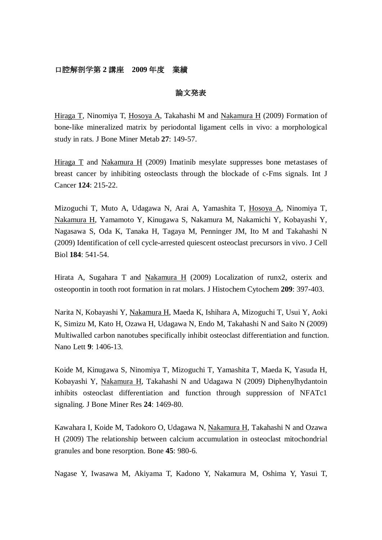# 口腔解剖学第 **2** 講座 **2009** 年度 業績

### 論文発表

Hiraga T, Ninomiya T, Hosoya A, Takahashi M and Nakamura H (2009) Formation of bone-like mineralized matrix by periodontal ligament cells in vivo: a morphological study in rats. J Bone Miner Metab **27**: 149-57.

Hiraga  $\overline{T}$  and Nakamura H (2009) Imatinib mesylate suppresses bone metastases of breast cancer by inhibiting osteoclasts through the blockade of c-Fms signals. Int J Cancer **124**: 215-22.

Mizoguchi T, Muto A, Udagawa N, Arai A, Yamashita T, Hosoya A, Ninomiya T, Nakamura H, Yamamoto Y, Kinugawa S, Nakamura M, Nakamichi Y, Kobayashi Y, Nagasawa S, Oda K, Tanaka H, Tagaya M, Penninger JM, Ito M and Takahashi N (2009) Identification of cell cycle-arrested quiescent osteoclast precursors in vivo. J Cell Biol **184**: 541-54.

Hirata A, Sugahara T and Nakamura H (2009) Localization of runx2, osterix and osteopontin in tooth root formation in rat molars. J Histochem Cytochem **209**: 397-403.

Narita N, Kobayashi Y, Nakamura H, Maeda K, Ishihara A, Mizoguchi T, Usui Y, Aoki K, Simizu M, Kato H, Ozawa H, Udagawa N, Endo M, Takahashi N and Saito N (2009) Multiwalled carbon nanotubes specifically inhibit osteoclast differentiation and function. Nano Lett **9**: 1406-13.

Koide M, Kinugawa S, Ninomiya T, Mizoguchi T, Yamashita T, Maeda K, Yasuda H, Kobayashi Y, Nakamura H, Takahashi N and Udagawa N (2009) Diphenylhydantoin inhibits osteoclast differentiation and function through suppression of NFATc1 signaling. J Bone Miner Res **24**: 1469-80.

Kawahara I, Koide M, Tadokoro O, Udagawa N, Nakamura H, Takahashi N and Ozawa H (2009) The relationship between calcium accumulation in osteoclast mitochondrial granules and bone resorption. Bone **45**: 980-6.

Nagase Y, Iwasawa M, Akiyama T, Kadono Y, Nakamura M, Oshima Y, Yasui T,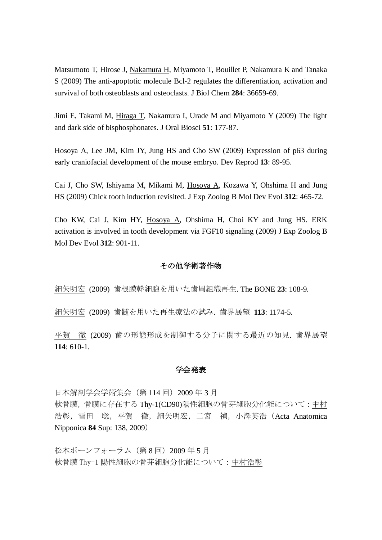Matsumoto T, Hirose J, Nakamura H, Miyamoto T, Bouillet P, Nakamura K and Tanaka S (2009) The anti-apoptotic molecule Bcl-2 regulates the differentiation, activation and survival of both osteoblasts and osteoclasts. J Biol Chem **284**: 36659-69.

Jimi E, Takami M, Hiraga T, Nakamura I, Urade M and Miyamoto Y (2009) The light and dark side of bisphosphonates. J Oral Biosci **51**: 177-87.

Hosoya A, Lee JM, Kim JY, Jung HS and Cho SW (2009) Expression of p63 during early craniofacial development of the mouse embryo. Dev Reprod **13**: 89-95.

Cai J, Cho SW, Ishiyama M, Mikami M, Hosoya A, Kozawa Y, Ohshima H and Jung HS (2009) Chick tooth induction revisited. J Exp Zoolog B Mol Dev Evol **312**: 465-72.

Cho KW, Cai J, Kim HY, Hosoya A, Ohshima H, Choi KY and Jung HS. ERK activation is involved in tooth development via FGF10 signaling (2009) J Exp Zoolog B Mol Dev Evol **312**: 901-11.

## その他学術著作物

細矢明宏 (2009) 歯根膜幹細胞を用いた歯周組織再生. The BONE **23**: 108-9.

細矢明宏 (2009) 歯髄を用いた再生療法の試み. 歯界展望 **113**: 1174-5.

平賀 徹 (2009) 歯の形態形成を制御する分子に関する最近の知見. 歯界展望 **114**: 610-1.

### 学会発表

日本解剖学会学術集会 (第 114 回) 2009 年 3 月 軟骨膜,骨膜に存在する Thy-1(CD90)陽性細胞の骨芽細胞分化能について:中村 浩彰,雪田 聡,平賀 徹,細矢明宏,二宮 禎,小澤英浩 (Acta Anatomica Nipponica **84** Sup: 138, 2009)

松本ボーンフォーラム (第8回) 2009年5月 軟骨膜 Thy-1 陽性細胞の骨芽細胞分化能について:中村浩彰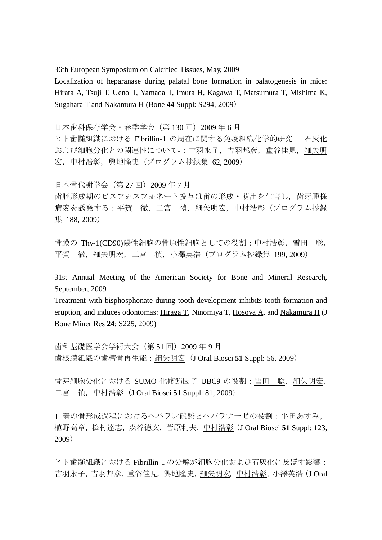36th European Symposium on Calcified Tissues, May, 2009

Localization of heparanase during palatal bone formation in palatogenesis in mice: Hirata A, Tsuji T, Ueno T, Yamada T, Imura H, Kagawa T, Matsumura T, Mishima K, Sugahara T and Nakamura H (Bone **44** Suppl: S294, 2009)

日本歯科保存学会・春季学会(第130回)2009年6月

ヒト歯髄組織における Fibrillin-1 の局在に関する免疫組織化学的研究 –石灰化 および細胞分化との関連性について -: 吉羽永子, 吉羽邦彦, 重谷佳見, 細矢明 宏,中村浩彰,興地隆史(プログラム抄録集 62, 2009)

日本骨代謝学会(第 27 回)2009 年 7 月

歯胚形成期のビスフォスフォネート投与は歯の形成・萌出を生害し、歯牙腫様 病変を誘発する:平賀 徹,二宮 禎,細矢明宏,中村浩彰(プログラム抄録 集 188, 2009)

骨膜の Thy-1(CD90)陽性細胞の骨原性細胞としての役割:中村浩彰,雪田 聡, 平賀 徹, 細矢明宏, 二宮 禎, 小澤英浩 (プログラム抄録集 199, 2009)

31st Annual Meeting of the American Society for Bone and Mineral Research, September, 2009

Treatment with bisphosphonate during tooth development inhibits tooth formation and eruption, and induces odontomas: Hiraga T, Ninomiya T, Hosoya A, and Nakamura H (J Bone Miner Res **24**: S225, 2009)

歯科基礎医学会学術大会(第 51 回)2009 年 9 月 歯根膜組織の歯槽骨再生能:細矢明宏(J Oral Biosci **51** Suppl: 56, 2009)

骨芽細胞分化における SUMO 化修飾因子 UBC9 の役割:雪田 聡, 細矢明宏, 二宮 禎,中村浩彰(J Oral Biosci **51** Suppl: 81, 2009)

口蓋の骨形成過程におけるヘパラン硫酸とヘパラナーゼの役割:平田あずみ, 植野高章,松村達志,森谷徳文,菅原利夫,中村浩彰(J Oral Biosci **51** Suppl: 123, 2009)

ヒト歯髄組織における Fibrillin-1 の分解が細胞分化および石灰化に及ぼす影響: 吉羽永子,吉羽邦彦,重谷佳見,興地隆史,細矢明宏,中村浩彰,小澤英浩(J Oral